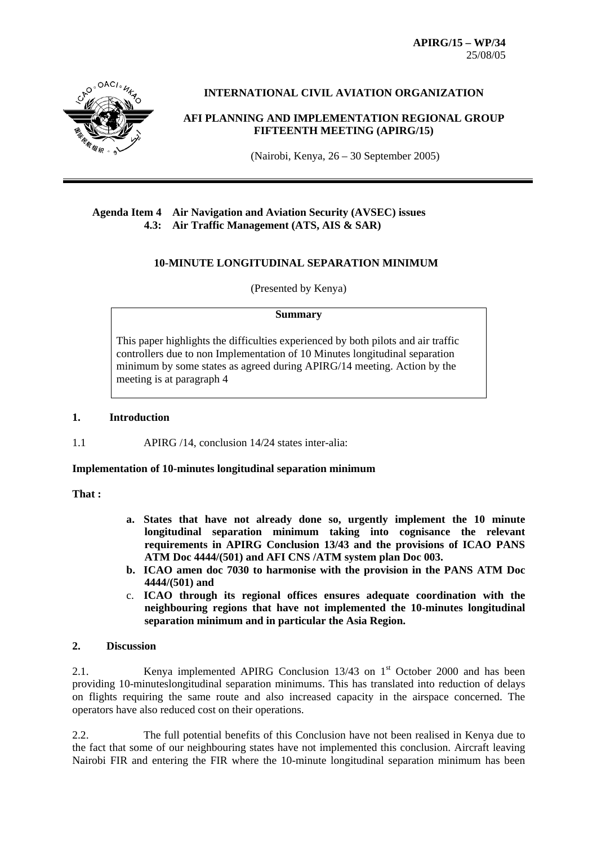**APIRG/15 – WP/34**  25/08/05



**INTERNATIONAL CIVIL AVIATION ORGANIZATION** 

**AFI PLANNING AND IMPLEMENTATION REGIONAL GROUP FIFTEENTH MEETING (APIRG/15)**

(Nairobi, Kenya, 26 – 30 September 2005)

### **Agenda Item 4 Air Navigation and Aviation Security (AVSEC) issues 4.3: Air Traffic Management (ATS, AIS & SAR)**

## **10-MINUTE LONGITUDINAL SEPARATION MINIMUM**

(Presented by Kenya)

#### **Summary**

This paper highlights the difficulties experienced by both pilots and air traffic controllers due to non Implementation of 10 Minutes longitudinal separation minimum by some states as agreed during APIRG/14 meeting. Action by the meeting is at paragraph 4

### **1. Introduction**

1.1 APIRG /14, conclusion 14/24 states inter-alia:

### **Implementation of 10-minutes longitudinal separation minimum**

**That :** 

- **a. States that have not already done so, urgently implement the 10 minute longitudinal separation minimum taking into cognisance the relevant requirements in APIRG Conclusion 13/43 and the provisions of ICAO PANS ATM Doc 4444/(501) and AFI CNS /ATM system plan Doc 003.**
- **b. ICAO amen doc 7030 to harmonise with the provision in the PANS ATM Doc 4444/(501) and**
- c. **ICAO through its regional offices ensures adequate coordination with the neighbouring regions that have not implemented the 10-minutes longitudinal separation minimum and in particular the Asia Region.**

#### **2. Discussion**

2.1. Kenya implemented APIRG Conclusion  $13/43$  on  $1<sup>st</sup>$  October 2000 and has been providing 10-minuteslongitudinal separation minimums. This has translated into reduction of delays on flights requiring the same route and also increased capacity in the airspace concerned. The operators have also reduced cost on their operations.

2.2. The full potential benefits of this Conclusion have not been realised in Kenya due to the fact that some of our neighbouring states have not implemented this conclusion. Aircraft leaving Nairobi FIR and entering the FIR where the 10-minute longitudinal separation minimum has been